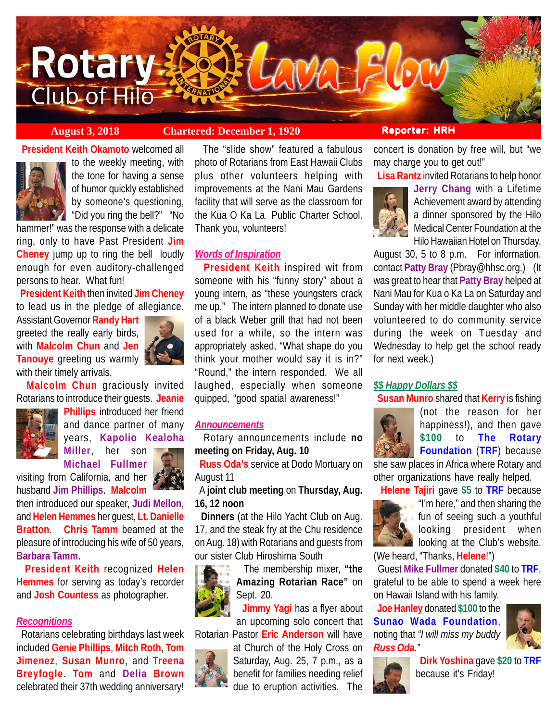

# **August 3, 2018 Chartered: December 1, 1920 Reporter: HRH**

**President Keith Okamoto** welcomed all



to the weekly meeting, with the tone for having a sense of humor quickly established by someone's questioning, "Did you ring the bell?" "No

hammer!" was the response with a delicate ring, only to have Past President **Jim Cheney** jump up to ring the bell loudly enough for even auditory-challenged persons to hear. What fun!

 **President Keith** then invited **Jim Cheney** to lead us in the pledge of allegiance.

Assistant Governor **Randy Hart** greeted the really early birds, with **Malcolm Chun** and **Jen Tanouye** greeting us warmly with their timely arrivals.



 **Malcolm Chun** graciously invited Rotarians to introduce their guests. **Jeanie**



**Phillips** introduced her friend and dance partner of many years, **Kapolio Kealoha Miller**, her son

**Michael Fullmer**



visiting from California, and her husband **Jim Phillips**. **Malcolm**

then introduced our speaker, **Judi Mellon**, and **Helen Hemmes** her guest, **Lt. Danielle Bratton**. **Chris Tamm** beamed at the pleasure of introducing his wife of 50 years, **Barbara Tamm**.

 **President Keith** recognized **Helen Hemmes** for serving as today's recorder and **Josh Countess** as photographer.

# *Recognitions*

 Rotarians celebrating birthdays last week included **Genie Phillips**, **Mitch Roth**, **Tom Jimenez**, **Susan Munro**, and **Treena Breyfogle**. **Tom** and **Delia Brown** celebrated their 37th wedding anniversary!

 The "slide show" featured a fabulous photo of Rotarians from East Hawaii Clubs plus other volunteers helping with improvements at the Nani Mau Gardens facility that will serve as the classroom for the Kua O Ka La Public Charter School. Thank you, volunteers!

## *Words of Inspiration*

 **President Keith** inspired wit from someone with his "funny story" about a young intern, as "these youngsters crack me up." The intern planned to donate use of a black Weber grill that had not been used for a while, so the intern was appropriately asked, "What shape do you think your mother would say it is in?" "Round," the intern responded. We all laughed, especially when someone quipped, "good spatial awareness!"

## *Announcements*

 Rotary announcements include **no meeting on Friday, Aug. 10**

 **Russ Oda's** service at Dodo Mortuary on August 11

 A **joint club meeting** on **Thursday, Aug. 16, 12 noon**

 **Dinners** (at the Hilo Yacht Club on Aug. 17, and the steak fry at the Chu residence on Aug. 18) with Rotarians and guests from our sister Club Hiroshima South

> The membership mixer, **"the Amazing Rotarian Race"** on Sept. 20.

 **Jimmy Yagi** has a flyer about an upcoming solo concert that

Rotarian Pastor **Eric Anderson** will have

at Church of the Holy Cross on Saturday, Aug. 25, 7 p.m., as a benefit for families needing relief due to eruption activities. The

concert is donation by free will, but "we may charge you to get out!"

**Lisa Rantz** invited Rotarians to help honor



**Jerry Chang** with a Lifetime Achievement award by attending a dinner sponsored by the Hilo Medical Center Foundation at the Hilo Hawaiian Hotel on Thursday,

August 30, 5 to 8 p.m. For information, contact **Patty Bray** (Pbray@hhsc.org.) (It was great to hear that **Patty Bray** helped at Nani Mau for Kua o Ka La on Saturday and Sunday with her middle daughter who also volunteered to do community service during the week on Tuesday and Wednesday to help get the school ready for next week.)

# *\$\$ Happy Dollars \$\$*

**Susan Munro** shared that **Kerry** is fishing



(not the reason for her happiness!), and then gave **\$100** to **The Rotary Foundation** (**TRF**) because

she saw places in Africa where Rotary and other organizations have really helped.

 **Helene Tajiri** gave **\$5** to **TRF** because



"I'm here," and then sharing the **fun of seeing such a youthful** looking president when **A** looking at the Club's website.

(We heard, "Thanks, **Helene**!")

 Guest **Mike Fullmer** donated **\$40** to **TRF**, grateful to be able to spend a week here on Hawaii Island with his family.

 **Joe Hanley** donated **\$100** to the **Sunao Wada Foundation**, noting that *"I will miss my buddy Russ Oda."*





 **Dirk Yoshina** gave **\$20** to **TRF** because it's Friday!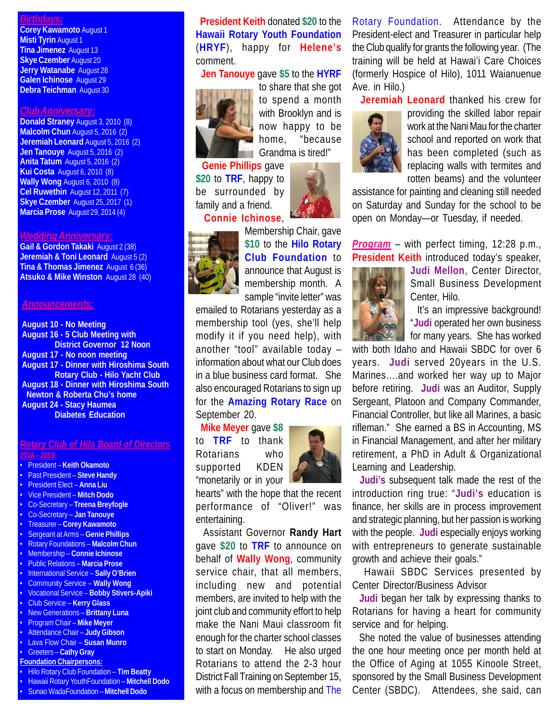### *Birthdays:*

**Corey Kawamoto** August 1 **Misti Tyrin** August 1 **Tina Jimenez** August 13 **Skye Czember** August 20 **Jerry Watanabe** August 28 **Galen Ichinose** August 29 **Debra Teichman** August 30

### *Club Anniversary:*

**Donald Straney** August 3, 2010 (8) **Malcolm Chun** August 5, 2016 (2) **Jeremiah Leonard** August 5, 2016 (2) **Jen Tanouye** August 5, 2016 (2) **Anita Tatum** August 5, 2016 (2) **Kui Costa** August 6, 2010 (8) **Wally Wong** August 6, 2010 (8) **Cel Ruwethin** August 12, 2011 (7) **Skye Czember** August 25, 2017 (1) **Marcia Prose** August 29, 2014 (4)

#### *Wedding Anniversary:*

**Gail & Gordon Takaki** August 2 (38) **Jeremiah & Toni Leonard** August 5 (2) **Tina & Thomas Jimenez** August 6 (36) **Atsuko & Mike Winston** August 28 (40)

#### *Announcements:*

**August 10 - No Meeting August 16 - 5 Club Meeting with District Governor 12 Noon August 17 - No noon meeting August 17 - Dinner with Hiroshima South Rotary Club - Hilo Yacht Club August 18 - Dinner with Hiroshima South Newton & Roberta Chu's home August 24 - Stacy Haumea Diabetes Education**

#### *Rotary Club of Hilo Board of Directors* **2018 – 2019:**

• President – **Keith Okamoto** • Past President – **Steve Handy** • President Elect – **Anna Liu** • Vice President – **Mitch Dodo** • Co-Secretary – **Treena Breyfogle** • Co-Secretary – **Jan Tanouye** • Treasurer – **Corey Kawamoto** • Sergeant at Arms – **Genie Phillips** • Rotary Foundations – **Malcolm Chun** • Membership – **Connie Ichinose** • Public Relations – **Marcia Prose** • International Service – **Sally O'Brien** • Community Service – **Wally Wong** • Vocational Service – **Bobby Stivers-Apiki** • Club Service – **Kerry Glass** • New Generations – **Brittany Luna** • Program Chair – **Mike Meyer** • Attendance Chair – **Judy Gibson** • Lava Flow Chair – **Susan Munro** • Greeters – **Cathy Gray Foundation Chairpersons:** • Hilo Rotary Club Foundation – **Tim Beatty** • Hawaii Rotary YouthFoundation – **Mitchell Dodo**

• Sunao WadaFoundation – **Mitchell Dodo**

 **President Keith** donated **\$20** to the **Hawaii Rotary Youth Foundation** (**HRYF**), happy for **Helene's** comment.

**Jen Tanouye** gave **\$5** to the **HYRF**



to share that she got to spend a month with Brooklyn and is now happy to be home, "because Grandma is tired!"

 **Genie Phillips** gave **\$20** to **TRF**, happy to be surrounded by family and a friend.  **Connie Ichinose**,



Membership Chair, gave **\$10** to the **Hilo Rotary Club Foundation** to announce that August is membership month. A sample "invite letter" was

emailed to Rotarians yesterday as a membership tool (yes, she'll help modify it if you need help), with another "tool" available today – information about what our Club does in a blue business card format. She also encouraged Rotarians to sign up for the **Amazing Rotary Race** on September 20.

 **Mike Meyer** gave **\$8** to **TRF** to thank Rotarians who supported KDEN "monetarily or in your



hearts" with the hope that the recent performance of "Oliver!" was entertaining.

 Assistant Governor **Randy Hart** gave **\$20** to **TRF** to announce on behalf of **Wally Wong**, community service chair, that all members, including new and potential members, are invited to help with the joint club and community effort to help make the Nani Maui classroom fit enough for the charter school classes to start on Monday. He also urged Rotarians to attend the 2-3 hour District Fall Training on September 15, with a focus on membership and The

Rotary Foundation. Attendance by the President-elect and Treasurer in particular help the Club qualify for grants the following year. (The training will be held at Hawai'i Care Choices (formerly Hospice of Hilo), 1011 Waianuenue Ave. in Hilo.)

**Jeremiah Leonard** thanked his crew for



providing the skilled labor repair work at the Nani Mau for the charter school and reported on work that has been completed (such as replacing walls with termites and rotten beams) and the volunteer

assistance for painting and cleaning still needed on Saturday and Sunday for the school to be open on Monday—or Tuesday, if needed.

*Program* – with perfect timing, 12:28 p.m., **President Keith** introduced today's speaker,



**Judi Mellon**, Center Director, Small Business Development Center, Hilo.

 It's an impressive background! "**Judi** operated her own business for many years. She has worked

with both Idaho and Hawaii SBDC for over 6 years. **Judi** served 20years in the U.S. Marines….and worked her way up to Major before retiring. **Judi** was an Auditor, Supply Sergeant, Platoon and Company Commander, Financial Controller, but like all Marines, a basic rifleman." She earned a BS in Accounting, MS in Financial Management, and after her military retirement, a PhD in Adult & Organizational Learning and Leadership.

 **Judi's** subsequent talk made the rest of the introduction ring true: "**Judi's** education is finance, her skills are in process improvement and strategic planning, but her passion is working with the people. **Judi** especially enjoys working with entrepreneurs to generate sustainable growth and achieve their goals."

 Hawaii SBDC Services presented by Center Director/Business Advisor

 **Judi** began her talk by expressing thanks to Rotarians for having a heart for community service and for helping.

 She noted the value of businesses attending the one hour meeting once per month held at the Office of Aging at 1055 Kinoole Street, sponsored by the Small Business Development Center (SBDC). Attendees, she said, can